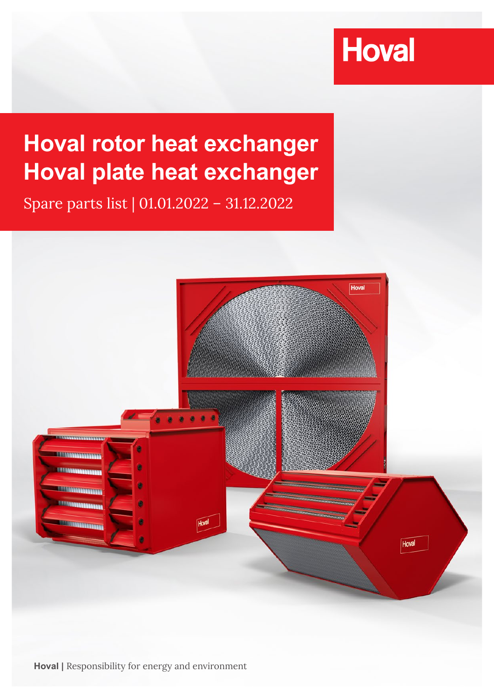# **Hoval**

## **Hoval rotor heat exchanger Hoval plate heat exchanger**

Spare parts list | 01.01.2022 – 31.12.2022



**Hoval |** Responsibility for energy and environment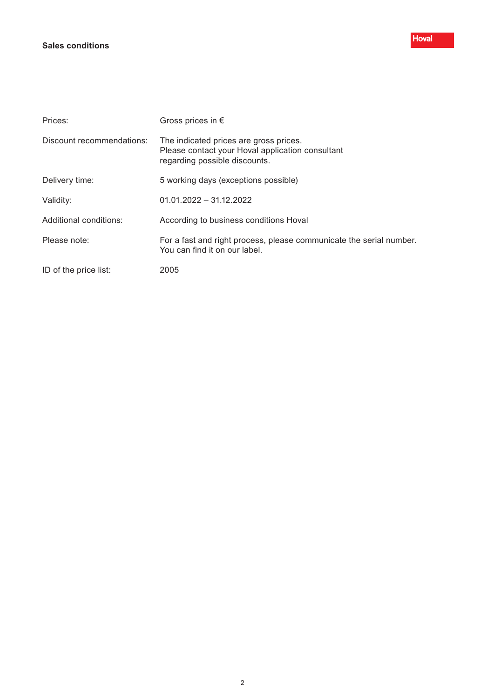#### **Sales conditions**

| Prices:                   | Gross prices in $\epsilon$                                                                                                  |
|---------------------------|-----------------------------------------------------------------------------------------------------------------------------|
| Discount recommendations: | The indicated prices are gross prices.<br>Please contact your Hoval application consultant<br>regarding possible discounts. |
| Delivery time:            | 5 working days (exceptions possible)                                                                                        |
| Validity:                 | $01.01.2022 - 31.12.2022$                                                                                                   |
| Additional conditions:    | According to business conditions Hoval                                                                                      |
| Please note:              | For a fast and right process, please communicate the serial number.<br>You can find it on our label.                        |
| ID of the price list:     | 2005                                                                                                                        |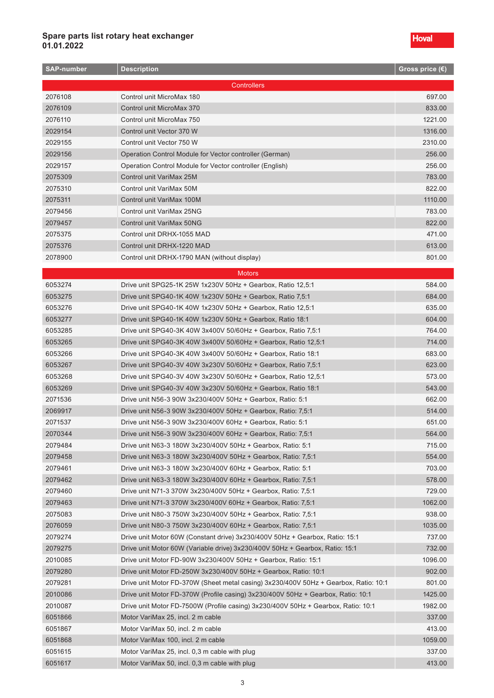| <b>SAP-number</b>  | <b>Description</b>                                                                   | Gross price (€) |
|--------------------|--------------------------------------------------------------------------------------|-----------------|
| <b>Controllers</b> |                                                                                      |                 |
| 2076108            | Control unit MicroMax 180                                                            | 697.00          |
| 2076109            | Control unit MicroMax 370                                                            | 833.00          |
| 2076110            | Control unit MicroMax 750                                                            | 1221.00         |
| 2029154            | Control unit Vector 370 W                                                            | 1316.00         |
| 2029155            | Control unit Vector 750 W                                                            | 2310.00         |
| 2029156            | Operation Control Module for Vector controller (German)                              | 256.00          |
| 2029157            | Operation Control Module for Vector controller (English)                             | 256.00          |
| 2075309            | Control unit VariMax 25M                                                             | 783.00          |
| 2075310            | Control unit VariMax 50M                                                             | 822.00          |
| 2075311            | Control unit VariMax 100M                                                            | 1110.00         |
| 2079456            | Control unit VariMax 25NG                                                            | 783.00          |
| 2079457            | Control unit VariMax 50NG                                                            | 822.00          |
| 2075375            | Control unit DRHX-1055 MAD                                                           | 471.00          |
| 2075376            | Control unit DRHX-1220 MAD                                                           | 613.00          |
| 2078900            | Control unit DRHX-1790 MAN (without display)                                         | 801.00          |
|                    |                                                                                      |                 |
|                    | <b>Motors</b>                                                                        |                 |
| 6053274            | Drive unit SPG25-1K 25W 1x230V 50Hz + Gearbox, Ratio 12,5:1                          | 584.00          |
| 6053275            | Drive unit SPG40-1K 40W 1x230V 50Hz + Gearbox, Ratio 7,5:1                           | 684.00          |
| 6053276            | Drive unit SPG40-1K 40W 1x230V 50Hz + Gearbox, Ratio 12,5:1                          | 635.00          |
| 6053277            | Drive unit SPG40-1K 40W 1x230V 50Hz + Gearbox, Ratio 18:1                            | 604.00          |
| 6053285            | Drive unit SPG40-3K 40W 3x400V 50/60Hz + Gearbox, Ratio 7,5:1                        | 764.00          |
| 6053265            | Drive unit SPG40-3K 40W 3x400V 50/60Hz + Gearbox, Ratio 12,5:1                       | 714.00          |
| 6053266            | Drive unit SPG40-3K 40W 3x400V 50/60Hz + Gearbox, Ratio 18:1                         | 683.00          |
| 6053267            | Drive unit SPG40-3V 40W 3x230V 50/60Hz + Gearbox, Ratio 7,5:1                        | 623.00          |
| 6053268            | Drive unit SPG40-3V 40W 3x230V 50/60Hz + Gearbox, Ratio 12,5:1                       | 573.00          |
| 6053269            | Drive unit SPG40-3V 40W 3x230V 50/60Hz + Gearbox, Ratio 18:1                         | 543.00          |
| 2071536            | Drive unit N56-3 90W 3x230/400V 50Hz + Gearbox, Ratio: 5:1                           | 662.00          |
| 2069917            | Drive unit N56-3 90W 3x230/400V 50Hz + Gearbox, Ratio: 7,5:1                         | 514.00          |
| 2071537            | Drive unit N56-3 90W 3x230/400V 60Hz + Gearbox, Ratio: 5:1                           | 651.00          |
| 2070344            | Drive unit N56-3 90W 3x230/400V 60Hz + Gearbox, Ratio: 7,5:1                         | 564.00          |
| 2079484            | Drive unit N63-3 180W 3x230/400V 50Hz + Gearbox, Ratio: 5:1                          | 715.00          |
| 2079458            | Drive unit N63-3 180W 3x230/400V 50Hz + Gearbox, Ratio: 7,5:1                        | 554.00          |
| 2079461            | Drive unit N63-3 180W 3x230/400V 60Hz + Gearbox, Ratio: 5:1                          | 703.00          |
| 2079462            | Drive unit N63-3 180W 3x230/400V 60Hz + Gearbox, Ratio: 7,5:1                        | 578.00          |
| 2079460            | Drive unit N71-3 370W 3x230/400V 50Hz + Gearbox, Ratio: 7,5:1                        | 729.00          |
| 2079463            | Drive unit N71-3 370W 3x230/400V 60Hz + Gearbox, Ratio: 7,5:1                        | 1062.00         |
| 2075083            | Drive unit N80-3 750W 3x230/400V 50Hz + Gearbox, Ratio: 7,5:1                        | 938.00          |
| 2076059            | Drive unit N80-3 750W 3x230/400V 60Hz + Gearbox, Ratio: 7,5:1                        | 1035.00         |
| 2079274            | Drive unit Motor 60W (Constant drive) 3x230/400V 50Hz + Gearbox, Ratio: 15:1         | 737.00          |
| 2079275            | Drive unit Motor 60W (Variable drive) 3x230/400V 50Hz + Gearbox, Ratio: 15:1         | 732.00          |
| 2010085            | Drive unit Motor FD-90W 3x230/400V 50Hz + Gearbox, Ratio: 15:1                       | 1096.00         |
| 2079280            | Drive unit Motor FD-250W 3x230/400V 50Hz + Gearbox, Ratio: 10:1                      | 902.00          |
| 2079281            | Drive unit Motor FD-370W (Sheet metal casing) 3x230/400V 50Hz + Gearbox, Ratio: 10:1 | 801.00          |
| 2010086            | Drive unit Motor FD-370W (Profile casing) 3x230/400V 50Hz + Gearbox, Ratio: 10:1     | 1425.00         |
| 2010087            | Drive unit Motor FD-7500W (Profile casing) 3x230/400V 50Hz + Gearbox, Ratio: 10:1    | 1982.00         |
| 6051866            | Motor VariMax 25, incl. 2 m cable                                                    | 337.00          |
| 6051867            | Motor VariMax 50, incl. 2 m cable                                                    | 413.00          |
| 6051868            | Motor VariMax 100, incl. 2 m cable                                                   | 1059.00         |
| 6051615            | Motor VariMax 25, incl. 0,3 m cable with plug                                        | 337.00          |
| 6051617            | Motor VariMax 50, incl. 0,3 m cable with plug                                        | 413.00          |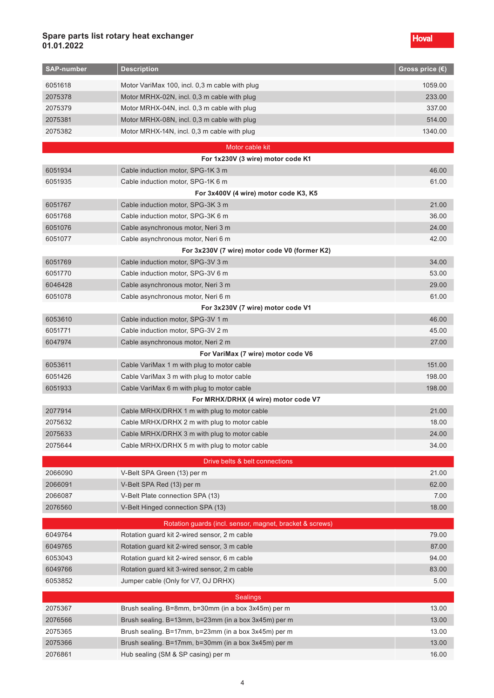| <b>SAP-number</b> | <b>Description</b>                                       | Gross price $\overline{\textbf{(\epsilon)}}$ |
|-------------------|----------------------------------------------------------|----------------------------------------------|
| 6051618           | Motor VariMax 100, incl. 0,3 m cable with plug           | 1059.00                                      |
| 2075378           | Motor MRHX-02N, incl. 0,3 m cable with plug              | 233.00                                       |
| 2075379           | Motor MRHX-04N, incl. 0,3 m cable with plug              | 337.00                                       |
| 2075381           | Motor MRHX-08N, incl. 0,3 m cable with plug              | 514.00                                       |
| 2075382           | Motor MRHX-14N, incl. 0,3 m cable with plug              | 1340.00                                      |
|                   | Motor cable kit                                          |                                              |
|                   | For 1x230V (3 wire) motor code K1                        |                                              |
| 6051934           | Cable induction motor, SPG-1K 3 m                        | 46.00                                        |
| 6051935           | Cable induction motor, SPG-1K 6 m                        | 61.00                                        |
|                   | For 3x400V (4 wire) motor code K3, K5                    |                                              |
| 6051767           | Cable induction motor, SPG-3K 3 m                        | 21.00                                        |
| 6051768           | Cable induction motor, SPG-3K 6 m                        | 36.00                                        |
| 6051076           | Cable asynchronous motor, Neri 3 m                       | 24.00                                        |
| 6051077           | Cable asynchronous motor, Neri 6 m                       | 42.00                                        |
|                   | For 3x230V (7 wire) motor code V0 (former K2)            |                                              |
| 6051769           | Cable induction motor, SPG-3V 3 m                        | 34.00                                        |
| 6051770           | Cable induction motor, SPG-3V 6 m                        | 53.00                                        |
| 6046428           | Cable asynchronous motor, Neri 3 m                       | 29.00                                        |
| 6051078           | Cable asynchronous motor, Neri 6 m                       | 61.00                                        |
|                   | For 3x230V (7 wire) motor code V1                        |                                              |
| 6053610           | Cable induction motor, SPG-3V 1 m                        | 46.00                                        |
| 6051771           | Cable induction motor, SPG-3V 2 m                        | 45.00                                        |
| 6047974           | Cable asynchronous motor, Neri 2 m                       | 27.00                                        |
|                   | For VariMax (7 wire) motor code V6                       |                                              |
| 6053611           | Cable VariMax 1 m with plug to motor cable               | 151.00                                       |
| 6051426           | Cable VariMax 3 m with plug to motor cable               | 198.00                                       |
| 6051933           | Cable VariMax 6 m with plug to motor cable               | 198.00                                       |
|                   | For MRHX/DRHX (4 wire) motor code V7                     |                                              |
| 2077914           | Cable MRHX/DRHX 1 m with plug to motor cable             | 21.00                                        |
| 2075632           | Cable MRHX/DRHX 2 m with plug to motor cable             | 18.00                                        |
| 2075633           | Cable MRHX/DRHX 3 m with plug to motor cable             | 24.00                                        |
| 2075644           | Cable MRHX/DRHX 5 m with plug to motor cable             | 34.00                                        |
|                   | Drive belts & belt connections                           |                                              |
| 2066090           | V-Belt SPA Green (13) per m                              | 21.00                                        |
| 2066091           | V-Belt SPA Red (13) per m                                | 62.00                                        |
| 2066087           | V-Belt Plate connection SPA (13)                         | 7.00                                         |
| 2076560           | V-Belt Hinged connection SPA (13)                        | 18.00                                        |
|                   | Rotation guards (incl. sensor, magnet, bracket & screws) |                                              |
| 6049764           | Rotation guard kit 2-wired sensor, 2 m cable             | 79.00                                        |
| 6049765           | Rotation guard kit 2-wired sensor, 3 m cable             | 87.00                                        |
| 6053043           | Rotation guard kit 2-wired sensor, 6 m cable             | 94.00                                        |
| 6049766           | Rotation guard kit 3-wired sensor, 2 m cable             | 83.00                                        |
| 6053852           | Jumper cable (Only for V7, OJ DRHX)                      | 5.00                                         |
| <b>Sealings</b>   |                                                          |                                              |
| 2075367           | Brush sealing. B=8mm, b=30mm (in a box 3x45m) per m      | 13.00                                        |
| 2076566           | Brush sealing. B=13mm, b=23mm (in a box 3x45m) per m     | 13.00                                        |
| 2075365           | Brush sealing. B=17mm, b=23mm (in a box 3x45m) per m     | 13.00                                        |
| 2075366           | Brush sealing. B=17mm, b=30mm (in a box 3x45m) per m     | 13.00                                        |
| 2076861           | Hub sealing (SM & SP casing) per m                       | 16.00                                        |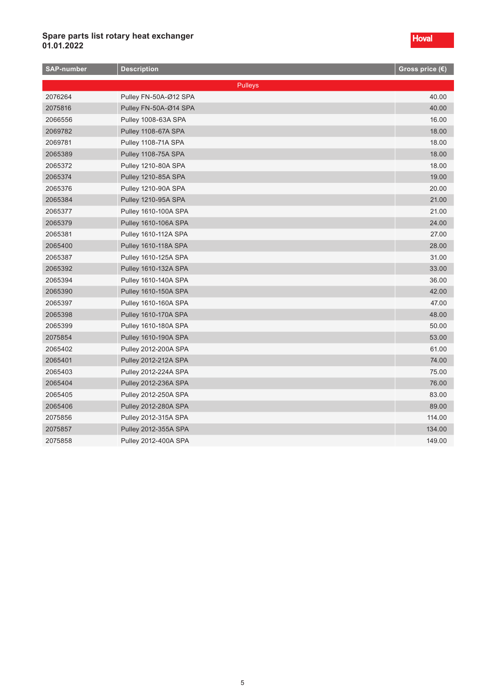| <b>SAP-number</b> | <b>Description</b>          | Gross price (€) |
|-------------------|-----------------------------|-----------------|
|                   | Pulleys                     |                 |
| 2076264           | Pulley FN-50A-Ø12 SPA       | 40.00           |
| 2075816           | Pulley FN-50A-Ø14 SPA       | 40.00           |
| 2066556           | Pulley 1008-63A SPA         | 16.00           |
| 2069782           | Pulley 1108-67A SPA         | 18.00           |
| 2069781           | Pulley 1108-71A SPA         | 18.00           |
| 2065389           | Pulley 1108-75A SPA         | 18.00           |
| 2065372           | Pulley 1210-80A SPA         | 18.00           |
| 2065374           | Pulley 1210-85A SPA         | 19.00           |
| 2065376           | Pulley 1210-90A SPA         | 20.00           |
| 2065384           | Pulley 1210-95A SPA         | 21.00           |
| 2065377           | <b>Pulley 1610-100A SPA</b> | 21.00           |
| 2065379           | <b>Pulley 1610-106A SPA</b> | 24.00           |
| 2065381           | <b>Pulley 1610-112A SPA</b> | 27.00           |
| 2065400           | <b>Pulley 1610-118A SPA</b> | 28.00           |
| 2065387           | <b>Pulley 1610-125A SPA</b> | 31.00           |
| 2065392           | Pulley 1610-132A SPA        | 33.00           |
| 2065394           | <b>Pulley 1610-140A SPA</b> | 36.00           |
| 2065390           | <b>Pulley 1610-150A SPA</b> | 42.00           |
| 2065397           | Pulley 1610-160A SPA        | 47.00           |
| 2065398           | Pulley 1610-170A SPA        | 48.00           |
| 2065399           | Pulley 1610-180A SPA        | 50.00           |
| 2075854           | <b>Pulley 1610-190A SPA</b> | 53.00           |
| 2065402           | Pulley 2012-200A SPA        | 61.00           |
| 2065401           | Pulley 2012-212A SPA        | 74.00           |
| 2065403           | Pulley 2012-224A SPA        | 75.00           |
| 2065404           | Pulley 2012-236A SPA        | 76.00           |
| 2065405           | <b>Pulley 2012-250A SPA</b> | 83.00           |
| 2065406           | <b>Pulley 2012-280A SPA</b> | 89.00           |
| 2075856           | Pulley 2012-315A SPA        | 114.00          |
| 2075857           | Pulley 2012-355A SPA        | 134.00          |
| 2075858           | <b>Pulley 2012-400A SPA</b> | 149.00          |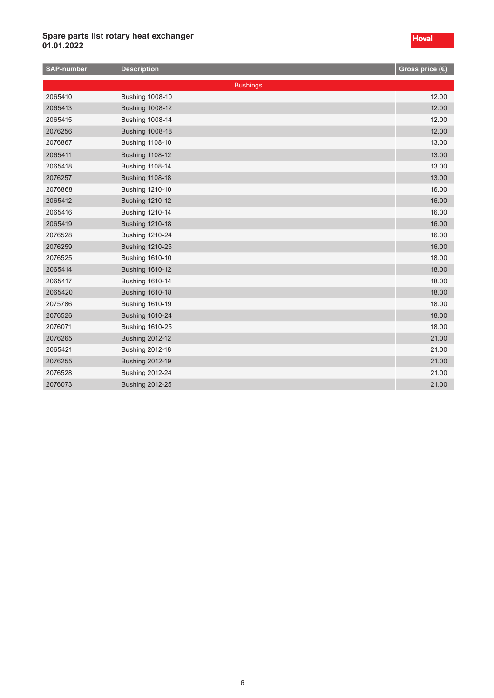| <b>SAP-number</b> | <b>Description</b>     | Gross price (€) |
|-------------------|------------------------|-----------------|
|                   | <b>Bushings</b>        |                 |
| 2065410           | <b>Bushing 1008-10</b> | 12.00           |
| 2065413           | <b>Bushing 1008-12</b> | 12.00           |
| 2065415           | <b>Bushing 1008-14</b> | 12.00           |
| 2076256           | <b>Bushing 1008-18</b> | 12.00           |
| 2076867           | <b>Bushing 1108-10</b> | 13.00           |
| 2065411           | <b>Bushing 1108-12</b> | 13.00           |
| 2065418           | <b>Bushing 1108-14</b> | 13.00           |
| 2076257           | <b>Bushing 1108-18</b> | 13.00           |
| 2076868           | <b>Bushing 1210-10</b> | 16.00           |
| 2065412           | <b>Bushing 1210-12</b> | 16.00           |
| 2065416           | <b>Bushing 1210-14</b> | 16.00           |
| 2065419           | <b>Bushing 1210-18</b> | 16.00           |
| 2076528           | <b>Bushing 1210-24</b> | 16.00           |
| 2076259           | <b>Bushing 1210-25</b> | 16.00           |
| 2076525           | <b>Bushing 1610-10</b> | 18.00           |
| 2065414           | <b>Bushing 1610-12</b> | 18.00           |
| 2065417           | <b>Bushing 1610-14</b> | 18.00           |
| 2065420           | <b>Bushing 1610-18</b> | 18.00           |
| 2075786           | <b>Bushing 1610-19</b> | 18.00           |
| 2076526           | <b>Bushing 1610-24</b> | 18.00           |
| 2076071           | <b>Bushing 1610-25</b> | 18.00           |
| 2076265           | <b>Bushing 2012-12</b> | 21.00           |
| 2065421           | <b>Bushing 2012-18</b> | 21.00           |
| 2076255           | <b>Bushing 2012-19</b> | 21.00           |
| 2076528           | <b>Bushing 2012-24</b> | 21.00           |
| 2076073           | <b>Bushing 2012-25</b> | 21.00           |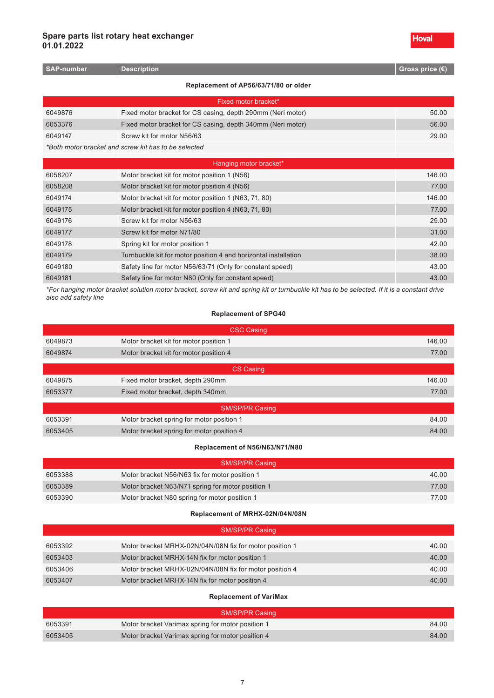| <b>SAP-number</b> | <b>Description</b>                                              | Gross price $(\epsilon)$ |
|-------------------|-----------------------------------------------------------------|--------------------------|
|                   | Replacement of AP56/63/71/80 or older                           |                          |
|                   | Fixed motor bracket*                                            |                          |
| 6049876           | Fixed motor bracket for CS casing, depth 290mm (Neri motor)     | 50.00                    |
| 6053376           | Fixed motor bracket for CS casing, depth 340mm (Neri motor)     | 56.00                    |
| 6049147           | Screw kit for motor N56/63                                      | 29.00                    |
|                   | *Both motor bracket and screw kit has to be selected            |                          |
|                   | Hanging motor bracket*                                          |                          |
| 6058207           | Motor bracket kit for motor position 1 (N56)                    | 146.00                   |
| 6058208           | Motor bracket kit for motor position 4 (N56)                    | 77.00                    |
| 6049174           | Motor bracket kit for motor position 1 (N63, 71, 80)            | 146.00                   |
| 6049175           | Motor bracket kit for motor position 4 (N63, 71, 80)            | 77.00                    |
| 6049176           | Screw kit for motor N56/63                                      | 29.00                    |
| 6049177           | Screw kit for motor N71/80                                      | 31.00                    |
| 6049178           | Spring kit for motor position 1                                 | 42.00                    |
| 6049179           | Turnbuckle kit for motor position 4 and horizontal installation | 38.00                    |
| 6049180           | Safety line for motor N56/63/71 (Only for constant speed)       | 43.00                    |
| 6049181           | Safety line for motor N80 (Only for constant speed)             | 43.00                    |
|                   |                                                                 |                          |

*\*For hanging motor bracket solution motor bracket, screw kit and spring kit or turnbuckle kit has to be selected. If it is a constant drive also add safety line*

#### **Replacement of SPG40**

| <b>CSC Casing</b>      |                                           |        |  |
|------------------------|-------------------------------------------|--------|--|
| 6049873                | Motor bracket kit for motor position 1    | 146.00 |  |
| 6049874                | Motor bracket kit for motor position 4    | 77.00  |  |
|                        |                                           |        |  |
|                        | <b>CS Casing</b>                          |        |  |
| 6049875                | Fixed motor bracket, depth 290mm          | 146.00 |  |
| 6053377                | Fixed motor bracket, depth 340mm          | 77.00  |  |
|                        |                                           |        |  |
| <b>SM/SP/PR Casing</b> |                                           |        |  |
| 6053391                | Motor bracket spring for motor position 1 | 84.00  |  |
| 6053405                | Motor bracket spring for motor position 4 | 84.00  |  |
|                        |                                           |        |  |

#### **Replacement of N56/N63/N71/N80**

| SM/SP/PR Casing |                                                   |       |
|-----------------|---------------------------------------------------|-------|
| 6053388         | Motor bracket N56/N63 fix for motor position 1    | 40.00 |
| 6053389         | Motor bracket N63/N71 spring for motor position 1 | 77.00 |
| 6053390         | Motor bracket N80 spring for motor position 1     | 77.00 |

#### **Replacement of MRHX-02N/04N/08N**

| <b>SM/SP/PR Casing</b> |                                                         |       |
|------------------------|---------------------------------------------------------|-------|
| 6053392                | Motor bracket MRHX-02N/04N/08N fix for motor position 1 | 40.00 |
| 6053403                | Motor bracket MRHX-14N fix for motor position 1         | 40.00 |
| 6053406                | Motor bracket MRHX-02N/04N/08N fix for motor position 4 | 40.00 |
| 6053407                | Motor bracket MRHX-14N fix for motor position 4         | 40.00 |

#### **Replacement of VariMax**

|         | <b>SM/SP/PR Casing</b>                            |       |
|---------|---------------------------------------------------|-------|
| 6053391 | Motor bracket Varimax spring for motor position 1 | 84.00 |
| 6053405 | Motor bracket Varimax spring for motor position 4 | 84.00 |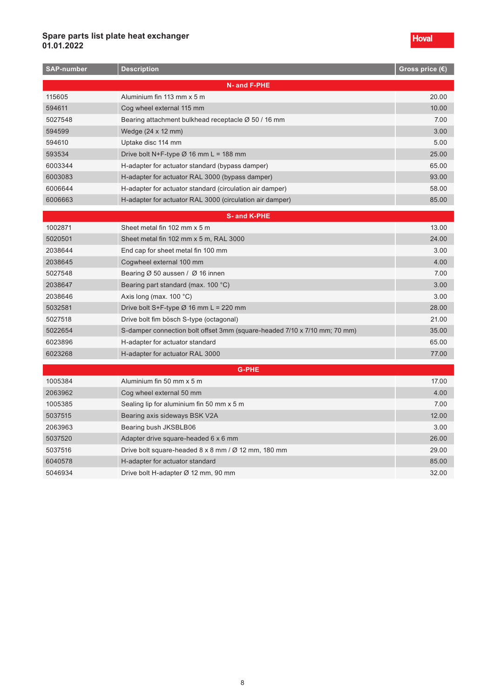#### **Spare parts list plate heat exchanger 01.01.2022**

| <b>SAP-number</b> | <b>Description</b>                                                        | Gross price (€) |
|-------------------|---------------------------------------------------------------------------|-----------------|
|                   | N- and F-PHE                                                              |                 |
| 115605            | Aluminium fin 113 mm x 5 m                                                | 20.00           |
| 594611            | Cog wheel external 115 mm                                                 | 10.00           |
| 5027548           | Bearing attachment bulkhead receptacle Ø 50 / 16 mm                       | 7.00            |
| 594599            | Wedge (24 x 12 mm)                                                        | 3.00            |
| 594610            | Uptake disc 114 mm                                                        | 5.00            |
| 593534            | Drive bolt N+F-type $\varnothing$ 16 mm L = 188 mm                        | 25.00           |
| 6003344           | H-adapter for actuator standard (bypass damper)                           | 65.00           |
| 6003083           | H-adapter for actuator RAL 3000 (bypass damper)                           | 93.00           |
| 6006644           | H-adapter for actuator standard (circulation air damper)                  | 58.00           |
| 6006663           | H-adapter for actuator RAL 3000 (circulation air damper)                  | 85.00           |
|                   | <b>S-and K-PHE</b>                                                        |                 |
| 1002871           | Sheet metal fin 102 mm x 5 m                                              | 13.00           |
| 5020501           | Sheet metal fin 102 mm x 5 m, RAL 3000                                    | 24.00           |
| 2038644           | End cap for sheet metal fin 100 mm                                        | 3.00            |
| 2038645           | Cogwheel external 100 mm                                                  | 4.00            |
| 5027548           | Bearing $\varnothing$ 50 aussen / $\varnothing$ 16 innen                  | 7.00            |
| 2038647           | Bearing part standard (max. 100 °C)                                       | 3.00            |
| 2038646           | Axis long (max. $100 °C$ )                                                | 3.00            |
| 5032581           | Drive bolt S+F-type $\varnothing$ 16 mm L = 220 mm                        | 28.00           |
| 5027518           | Drive bolt fim bösch S-type (octagonal)                                   | 21.00           |
| 5022654           | S-damper connection bolt offset 3mm (square-headed 7/10 x 7/10 mm; 70 mm) | 35.00           |
| 6023896           | H-adapter for actuator standard                                           | 65.00           |
| 6023268           | H-adapter for actuator RAL 3000                                           | 77.00           |
|                   | <b>G-PHE</b>                                                              |                 |
| 1005384           | Aluminium fin 50 mm x 5 m                                                 | 17.00           |
| 2063962           | Cog wheel external 50 mm                                                  | 4.00            |
| 1005385           | Sealing lip for aluminium fin 50 mm x 5 m                                 | 7.00            |
| 5037515           | Bearing axis sideways BSK V2A                                             | 12.00           |
| 2063963           | Bearing bush JKSBLB06                                                     | 3.00            |
| 5037520           | Adapter drive square-headed 6 x 6 mm                                      | 26.00           |
| 5037516           | Drive bolt square-headed $8 \times 8$ mm / $\varnothing$ 12 mm, 180 mm    | 29.00           |
| 6040578           | H-adapter for actuator standard                                           | 85.00           |
| 5046934           | Drive bolt H-adapter Ø 12 mm, 90 mm                                       | 32.00           |